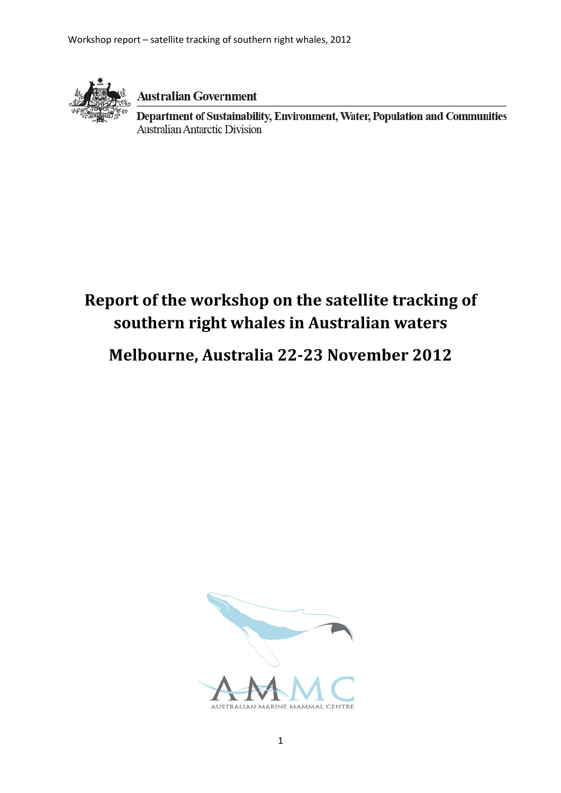

**Australian Government** 

Department of Sustainability, Environment, Water, Population and Communities **Australian Antarctic Division** 

# Report of the workshop on the satellite tracking of southern right whales in Australian waters

Melbourne, Australia 22-23 November 2012

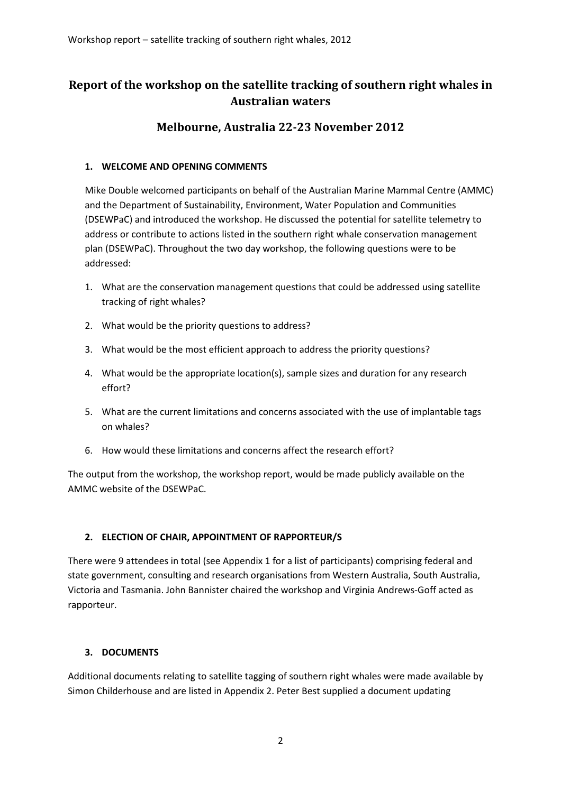# Report of the workshop on the satellite tracking of southern right whales in Australian waters

# Melbourne, Australia 22-23 November 2012

### 1. WELCOME AND OPENING COMMENTS

Mike Double welcomed participants on behalf of the Australian Marine Mammal Centre (AMMC) and the Department of Sustainability, Environment, Water Population and Communities (DSEWPaC) and introduced the workshop. He discussed the potential for satellite telemetry to address or contribute to actions listed in the southern right whale conservation management plan (DSEWPaC). Throughout the two day workshop, the following questions were to be addressed:

- 1. What are the conservation management questions that could be addressed using satellite tracking of right whales?
- 2. What would be the priority questions to address?
- 3. What would be the most efficient approach to address the priority questions?
- 4. What would be the appropriate location(s), sample sizes and duration for any research effort?
- 5. What are the current limitations and concerns associated with the use of implantable tags on whales?
- 6. How would these limitations and concerns affect the research effort?

The output from the workshop, the workshop report, would be made publicly available on the AMMC website of the DSEWPaC.

# 2. ELECTION OF CHAIR, APPOINTMENT OF RAPPORTEUR/S

There were 9 attendees in total (see Appendix 1 for a list of participants) comprising federal and state government, consulting and research organisations from Western Australia, South Australia, Victoria and Tasmania. John Bannister chaired the workshop and Virginia Andrews-Goff acted as rapporteur.

#### 3. DOCUMENTS

Additional documents relating to satellite tagging of southern right whales were made available by Simon Childerhouse and are listed in Appendix 2. Peter Best supplied a document updating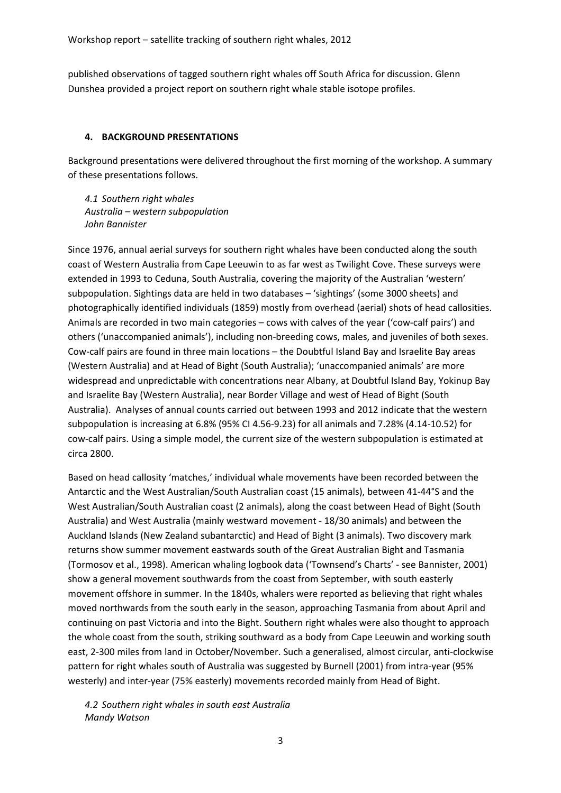published observations of tagged southern right whales off South Africa for discussion. Glenn Dunshea provided a project report on southern right whale stable isotope profiles.

#### 4. BACKGROUND PRESENTATIONS

Background presentations were delivered throughout the first morning of the workshop. A summary of these presentations follows.

4.1 Southern right whales Australia – western subpopulation John Bannister

Since 1976, annual aerial surveys for southern right whales have been conducted along the south coast of Western Australia from Cape Leeuwin to as far west as Twilight Cove. These surveys were extended in 1993 to Ceduna, South Australia, covering the majority of the Australian 'western' subpopulation. Sightings data are held in two databases – 'sightings' (some 3000 sheets) and photographically identified individuals (1859) mostly from overhead (aerial) shots of head callosities. Animals are recorded in two main categories – cows with calves of the year ('cow-calf pairs') and others ('unaccompanied animals'), including non-breeding cows, males, and juveniles of both sexes. Cow-calf pairs are found in three main locations – the Doubtful Island Bay and Israelite Bay areas (Western Australia) and at Head of Bight (South Australia); 'unaccompanied animals' are more widespread and unpredictable with concentrations near Albany, at Doubtful Island Bay, Yokinup Bay and Israelite Bay (Western Australia), near Border Village and west of Head of Bight (South Australia). Analyses of annual counts carried out between 1993 and 2012 indicate that the western subpopulation is increasing at 6.8% (95% CI 4.56-9.23) for all animals and 7.28% (4.14-10.52) for cow-calf pairs. Using a simple model, the current size of the western subpopulation is estimated at circa 2800.

Based on head callosity 'matches,' individual whale movements have been recorded between the Antarctic and the West Australian/South Australian coast (15 animals), between 41-44°S and the West Australian/South Australian coast (2 animals), along the coast between Head of Bight (South Australia) and West Australia (mainly westward movement - 18/30 animals) and between the Auckland Islands (New Zealand subantarctic) and Head of Bight (3 animals). Two discovery mark returns show summer movement eastwards south of the Great Australian Bight and Tasmania (Tormosov et al., 1998). American whaling logbook data ('Townsend's Charts' - see Bannister, 2001) show a general movement southwards from the coast from September, with south easterly movement offshore in summer. In the 1840s, whalers were reported as believing that right whales moved northwards from the south early in the season, approaching Tasmania from about April and continuing on past Victoria and into the Bight. Southern right whales were also thought to approach the whole coast from the south, striking southward as a body from Cape Leeuwin and working south east, 2-300 miles from land in October/November. Such a generalised, almost circular, anti-clockwise pattern for right whales south of Australia was suggested by Burnell (2001) from intra-year (95% westerly) and inter-year (75% easterly) movements recorded mainly from Head of Bight.

4.2 Southern right whales in south east Australia Mandy Watson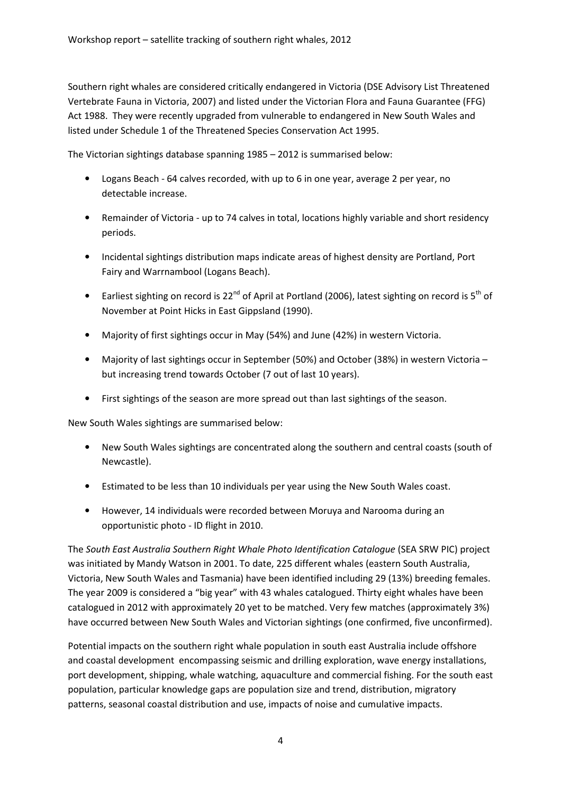Southern right whales are considered critically endangered in Victoria (DSE Advisory List Threatened Vertebrate Fauna in Victoria, 2007) and listed under the Victorian Flora and Fauna Guarantee (FFG) Act 1988. They were recently upgraded from vulnerable to endangered in New South Wales and listed under Schedule 1 of the Threatened Species Conservation Act 1995.

The Victorian sightings database spanning 1985 – 2012 is summarised below:

- Logans Beach 64 calves recorded, with up to 6 in one year, average 2 per year, no detectable increase.
- Remainder of Victoria up to 74 calves in total, locations highly variable and short residency periods.
- Incidental sightings distribution maps indicate areas of highest density are Portland, Port Fairy and Warrnambool (Logans Beach).
- Earliest sighting on record is 22<sup>nd</sup> of April at Portland (2006), latest sighting on record is 5<sup>th</sup> of November at Point Hicks in East Gippsland (1990).
- Majority of first sightings occur in May (54%) and June (42%) in western Victoria.
- Majority of last sightings occur in September (50%) and October (38%) in western Victoria but increasing trend towards October (7 out of last 10 years).
- First sightings of the season are more spread out than last sightings of the season.

New South Wales sightings are summarised below:

- New South Wales sightings are concentrated along the southern and central coasts (south of Newcastle).
- Estimated to be less than 10 individuals per year using the New South Wales coast.
- However, 14 individuals were recorded between Moruya and Narooma during an opportunistic photo - ID flight in 2010.

The South East Australia Southern Right Whale Photo Identification Catalogue (SEA SRW PIC) project was initiated by Mandy Watson in 2001. To date, 225 different whales (eastern South Australia, Victoria, New South Wales and Tasmania) have been identified including 29 (13%) breeding females. The year 2009 is considered a "big year" with 43 whales catalogued. Thirty eight whales have been catalogued in 2012 with approximately 20 yet to be matched. Very few matches (approximately 3%) have occurred between New South Wales and Victorian sightings (one confirmed, five unconfirmed).

Potential impacts on the southern right whale population in south east Australia include offshore and coastal development encompassing seismic and drilling exploration, wave energy installations, port development, shipping, whale watching, aquaculture and commercial fishing. For the south east population, particular knowledge gaps are population size and trend, distribution, migratory patterns, seasonal coastal distribution and use, impacts of noise and cumulative impacts.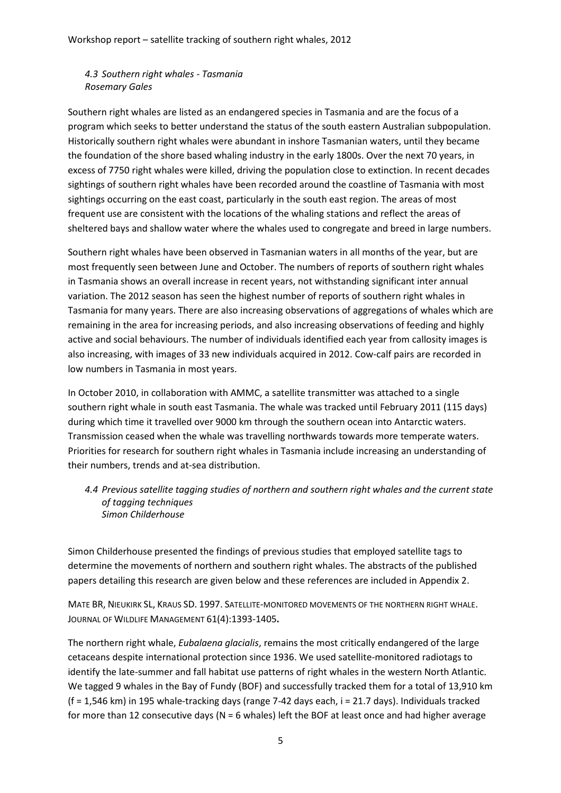4.3 Southern right whales - Tasmania Rosemary Gales

Southern right whales are listed as an endangered species in Tasmania and are the focus of a program which seeks to better understand the status of the south eastern Australian subpopulation. Historically southern right whales were abundant in inshore Tasmanian waters, until they became the foundation of the shore based whaling industry in the early 1800s. Over the next 70 years, in excess of 7750 right whales were killed, driving the population close to extinction. In recent decades sightings of southern right whales have been recorded around the coastline of Tasmania with most sightings occurring on the east coast, particularly in the south east region. The areas of most frequent use are consistent with the locations of the whaling stations and reflect the areas of sheltered bays and shallow water where the whales used to congregate and breed in large numbers.

Southern right whales have been observed in Tasmanian waters in all months of the year, but are most frequently seen between June and October. The numbers of reports of southern right whales in Tasmania shows an overall increase in recent years, not withstanding significant inter annual variation. The 2012 season has seen the highest number of reports of southern right whales in Tasmania for many years. There are also increasing observations of aggregations of whales which are remaining in the area for increasing periods, and also increasing observations of feeding and highly active and social behaviours. The number of individuals identified each year from callosity images is also increasing, with images of 33 new individuals acquired in 2012. Cow-calf pairs are recorded in low numbers in Tasmania in most years.

In October 2010, in collaboration with AMMC, a satellite transmitter was attached to a single southern right whale in south east Tasmania. The whale was tracked until February 2011 (115 days) during which time it travelled over 9000 km through the southern ocean into Antarctic waters. Transmission ceased when the whale was travelling northwards towards more temperate waters. Priorities for research for southern right whales in Tasmania include increasing an understanding of their numbers, trends and at-sea distribution.

4.4 Previous satellite tagging studies of northern and southern right whales and the current state of tagging techniques Simon Childerhouse

Simon Childerhouse presented the findings of previous studies that employed satellite tags to determine the movements of northern and southern right whales. The abstracts of the published papers detailing this research are given below and these references are included in Appendix 2.

MATE BR, NIEUKIRK SL, KRAUS SD. 1997. SATELLITE-MONITORED MOVEMENTS OF THE NORTHERN RIGHT WHALE. JOURNAL OF WILDLIFE MANAGEMENT 61(4):1393-1405.

The northern right whale, Eubalaena glacialis, remains the most critically endangered of the large cetaceans despite international protection since 1936. We used satellite-monitored radiotags to identify the late-summer and fall habitat use patterns of right whales in the western North Atlantic. We tagged 9 whales in the Bay of Fundy (BOF) and successfully tracked them for a total of 13,910 km (f = 1,546 km) in 195 whale-tracking days (range 7-42 days each, i = 21.7 days). Individuals tracked for more than 12 consecutive days ( $N = 6$  whales) left the BOF at least once and had higher average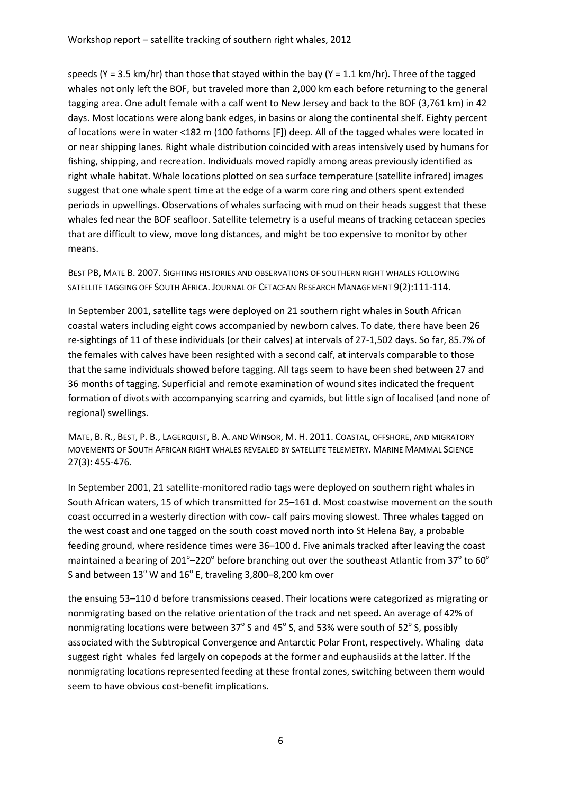speeds (Y = 3.5 km/hr) than those that stayed within the bay (Y = 1.1 km/hr). Three of the tagged whales not only left the BOF, but traveled more than 2,000 km each before returning to the general tagging area. One adult female with a calf went to New Jersey and back to the BOF (3,761 km) in 42 days. Most locations were along bank edges, in basins or along the continental shelf. Eighty percent of locations were in water <182 m (100 fathoms [F]) deep. All of the tagged whales were located in or near shipping lanes. Right whale distribution coincided with areas intensively used by humans for fishing, shipping, and recreation. Individuals moved rapidly among areas previously identified as right whale habitat. Whale locations plotted on sea surface temperature (satellite infrared) images suggest that one whale spent time at the edge of a warm core ring and others spent extended periods in upwellings. Observations of whales surfacing with mud on their heads suggest that these whales fed near the BOF seafloor. Satellite telemetry is a useful means of tracking cetacean species that are difficult to view, move long distances, and might be too expensive to monitor by other means.

BEST PB, MATE B. 2007. SIGHTING HISTORIES AND OBSERVATIONS OF SOUTHERN RIGHT WHALES FOLLOWING SATELLITE TAGGING OFF SOUTH AFRICA. JOURNAL OF CETACEAN RESEARCH MANAGEMENT 9(2):111-114.

In September 2001, satellite tags were deployed on 21 southern right whales in South African coastal waters including eight cows accompanied by newborn calves. To date, there have been 26 re-sightings of 11 of these individuals (or their calves) at intervals of 27-1,502 days. So far, 85.7% of the females with calves have been resighted with a second calf, at intervals comparable to those that the same individuals showed before tagging. All tags seem to have been shed between 27 and 36 months of tagging. Superficial and remote examination of wound sites indicated the frequent formation of divots with accompanying scarring and cyamids, but little sign of localised (and none of regional) swellings.

MATE, B. R., BEST, P. B., LAGERQUIST, B. A. AND WINSOR, M. H. 2011. COASTAL, OFFSHORE, AND MIGRATORY MOVEMENTS OF SOUTH AFRICAN RIGHT WHALES REVEALED BY SATELLITE TELEMETRY. MARINE MAMMAL SCIENCE 27(3): 455-476.

In September 2001, 21 satellite-monitored radio tags were deployed on southern right whales in South African waters, 15 of which transmitted for 25–161 d. Most coastwise movement on the south coast occurred in a westerly direction with cow- calf pairs moving slowest. Three whales tagged on the west coast and one tagged on the south coast moved north into St Helena Bay, a probable feeding ground, where residence times were 36–100 d. Five animals tracked after leaving the coast maintained a bearing of 201<sup>o</sup>–220<sup>o</sup> before branching out over the southeast Atlantic from 37<sup>o</sup> to 60<sup>o</sup> S and between 13 $^{\circ}$  W and 16 $^{\circ}$  E, traveling 3,800–8,200 km over

the ensuing 53–110 d before transmissions ceased. Their locations were categorized as migrating or nonmigrating based on the relative orientation of the track and net speed. An average of 42% of nonmigrating locations were between 37 $^{\circ}$  S and 45 $^{\circ}$  S, and 53% were south of 52 $^{\circ}$  S, possibly associated with the Subtropical Convergence and Antarctic Polar Front, respectively. Whaling data suggest right whales fed largely on copepods at the former and euphausiids at the latter. If the nonmigrating locations represented feeding at these frontal zones, switching between them would seem to have obvious cost-benefit implications.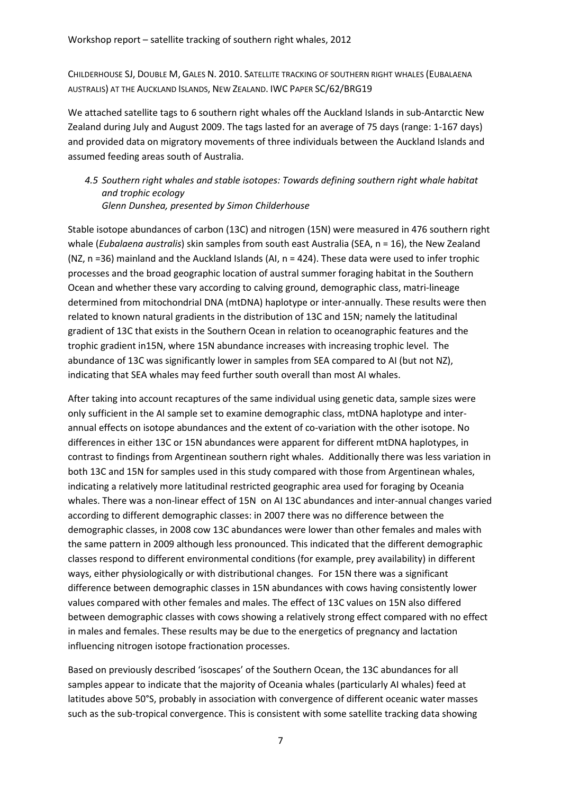CHILDERHOUSE SJ, DOUBLE M, GALES N. 2010. SATELLITE TRACKING OF SOUTHERN RIGHT WHALES (EUBALAENA AUSTRALIS) AT THE AUCKLAND ISLANDS, NEW ZEALAND. IWC PAPER SC/62/BRG19

We attached satellite tags to 6 southern right whales off the Auckland Islands in sub-Antarctic New Zealand during July and August 2009. The tags lasted for an average of 75 days (range: 1-167 days) and provided data on migratory movements of three individuals between the Auckland Islands and assumed feeding areas south of Australia.

# 4.5 Southern right whales and stable isotopes: Towards defining southern right whale habitat and trophic ecology

Glenn Dunshea, presented by Simon Childerhouse

Stable isotope abundances of carbon (13C) and nitrogen (15N) were measured in 476 southern right whale (*Eubalaena australis*) skin samples from south east Australia (SEA,  $n = 16$ ), the New Zealand (NZ, n =36) mainland and the Auckland Islands (AI, n = 424). These data were used to infer trophic processes and the broad geographic location of austral summer foraging habitat in the Southern Ocean and whether these vary according to calving ground, demographic class, matri-lineage determined from mitochondrial DNA (mtDNA) haplotype or inter-annually. These results were then related to known natural gradients in the distribution of 13C and 15N; namely the latitudinal gradient of 13C that exists in the Southern Ocean in relation to oceanographic features and the trophic gradient in15N, where 15N abundance increases with increasing trophic level. The abundance of 13C was significantly lower in samples from SEA compared to AI (but not NZ), indicating that SEA whales may feed further south overall than most AI whales.

After taking into account recaptures of the same individual using genetic data, sample sizes were only sufficient in the AI sample set to examine demographic class, mtDNA haplotype and interannual effects on isotope abundances and the extent of co-variation with the other isotope. No differences in either 13C or 15N abundances were apparent for different mtDNA haplotypes, in contrast to findings from Argentinean southern right whales. Additionally there was less variation in both 13C and 15N for samples used in this study compared with those from Argentinean whales, indicating a relatively more latitudinal restricted geographic area used for foraging by Oceania whales. There was a non-linear effect of 15N on AI 13C abundances and inter-annual changes varied according to different demographic classes: in 2007 there was no difference between the demographic classes, in 2008 cow 13C abundances were lower than other females and males with the same pattern in 2009 although less pronounced. This indicated that the different demographic classes respond to different environmental conditions (for example, prey availability) in different ways, either physiologically or with distributional changes. For 15N there was a significant difference between demographic classes in 15N abundances with cows having consistently lower values compared with other females and males. The effect of 13C values on 15N also differed between demographic classes with cows showing a relatively strong effect compared with no effect in males and females. These results may be due to the energetics of pregnancy and lactation influencing nitrogen isotope fractionation processes.

Based on previously described 'isoscapes' of the Southern Ocean, the 13C abundances for all samples appear to indicate that the majority of Oceania whales (particularly AI whales) feed at latitudes above 50°S, probably in association with convergence of different oceanic water masses such as the sub-tropical convergence. This is consistent with some satellite tracking data showing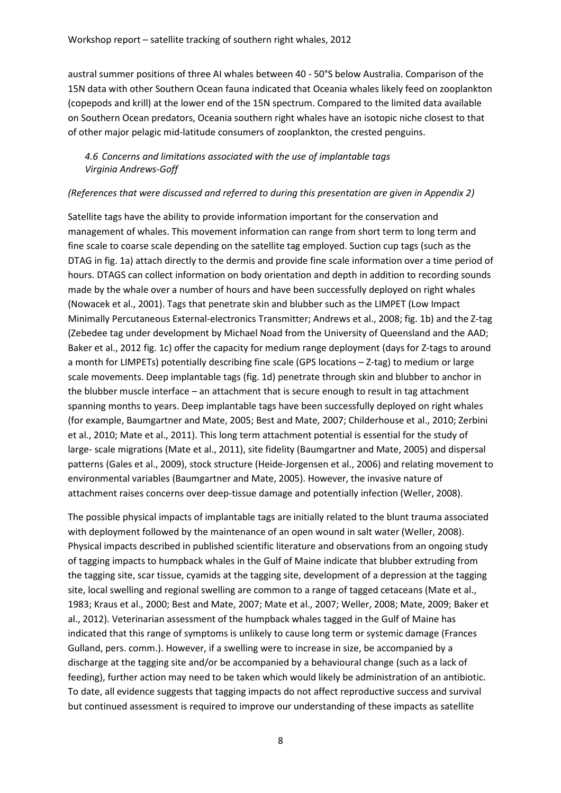austral summer positions of three AI whales between 40 - 50°S below Australia. Comparison of the 15N data with other Southern Ocean fauna indicated that Oceania whales likely feed on zooplankton (copepods and krill) at the lower end of the 15N spectrum. Compared to the limited data available on Southern Ocean predators, Oceania southern right whales have an isotopic niche closest to that of other major pelagic mid-latitude consumers of zooplankton, the crested penguins.

#### 4.6 Concerns and limitations associated with the use of implantable tags Virginia Andrews-Goff

#### (References that were discussed and referred to during this presentation are given in Appendix 2)

Satellite tags have the ability to provide information important for the conservation and management of whales. This movement information can range from short term to long term and fine scale to coarse scale depending on the satellite tag employed. Suction cup tags (such as the DTAG in fig. 1a) attach directly to the dermis and provide fine scale information over a time period of hours. DTAGS can collect information on body orientation and depth in addition to recording sounds made by the whale over a number of hours and have been successfully deployed on right whales (Nowacek et al., 2001). Tags that penetrate skin and blubber such as the LIMPET (Low Impact Minimally Percutaneous External-electronics Transmitter; Andrews et al., 2008; fig. 1b) and the Z-tag (Zebedee tag under development by Michael Noad from the University of Queensland and the AAD; Baker et al., 2012 fig. 1c) offer the capacity for medium range deployment (days for Z-tags to around a month for LIMPETs) potentially describing fine scale (GPS locations – Z-tag) to medium or large scale movements. Deep implantable tags (fig. 1d) penetrate through skin and blubber to anchor in the blubber muscle interface – an attachment that is secure enough to result in tag attachment spanning months to years. Deep implantable tags have been successfully deployed on right whales (for example, Baumgartner and Mate, 2005; Best and Mate, 2007; Childerhouse et al., 2010; Zerbini et al., 2010; Mate et al., 2011). This long term attachment potential is essential for the study of large- scale migrations (Mate et al., 2011), site fidelity (Baumgartner and Mate, 2005) and dispersal patterns (Gales et al., 2009), stock structure (Heide-Jorgensen et al., 2006) and relating movement to environmental variables (Baumgartner and Mate, 2005). However, the invasive nature of attachment raises concerns over deep-tissue damage and potentially infection (Weller, 2008).

The possible physical impacts of implantable tags are initially related to the blunt trauma associated with deployment followed by the maintenance of an open wound in salt water (Weller, 2008). Physical impacts described in published scientific literature and observations from an ongoing study of tagging impacts to humpback whales in the Gulf of Maine indicate that blubber extruding from the tagging site, scar tissue, cyamids at the tagging site, development of a depression at the tagging site, local swelling and regional swelling are common to a range of tagged cetaceans (Mate et al., 1983; Kraus et al., 2000; Best and Mate, 2007; Mate et al., 2007; Weller, 2008; Mate, 2009; Baker et al., 2012). Veterinarian assessment of the humpback whales tagged in the Gulf of Maine has indicated that this range of symptoms is unlikely to cause long term or systemic damage (Frances Gulland, pers. comm.). However, if a swelling were to increase in size, be accompanied by a discharge at the tagging site and/or be accompanied by a behavioural change (such as a lack of feeding), further action may need to be taken which would likely be administration of an antibiotic. To date, all evidence suggests that tagging impacts do not affect reproductive success and survival but continued assessment is required to improve our understanding of these impacts as satellite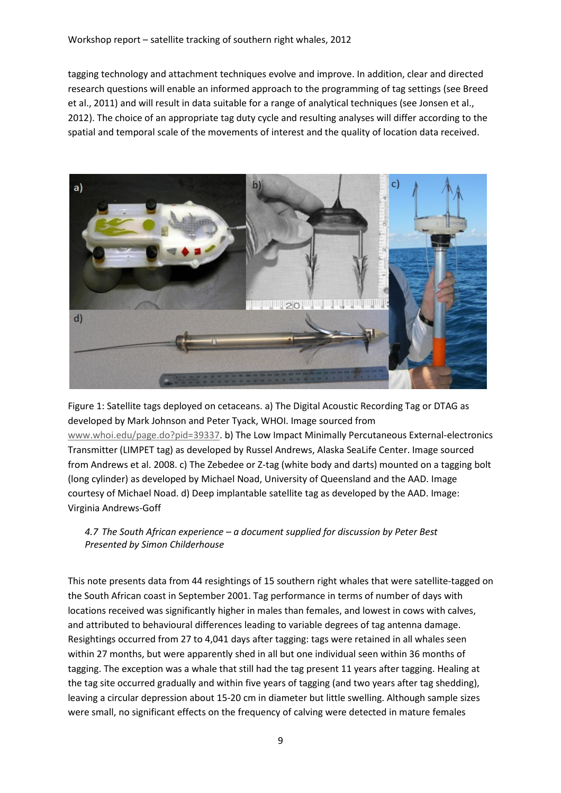tagging technology and attachment techniques evolve and improve. In addition, clear and directed research questions will enable an informed approach to the programming of tag settings (see Breed et al., 2011) and will result in data suitable for a range of analytical techniques (see Jonsen et al., 2012). The choice of an appropriate tag duty cycle and resulting analyses will differ according to the spatial and temporal scale of the movements of interest and the quality of location data received.



Figure 1: Satellite tags deployed on cetaceans. a) The Digital Acoustic Recording Tag or DTAG as developed by Mark Johnson and Peter Tyack, WHOI. Image sourced from www.whoi.edu/page.do?pid=39337. b) The Low Impact Minimally Percutaneous External-electronics Transmitter (LIMPET tag) as developed by Russel Andrews, Alaska SeaLife Center. Image sourced from Andrews et al. 2008. c) The Zebedee or Z-tag (white body and darts) mounted on a tagging bolt (long cylinder) as developed by Michael Noad, University of Queensland and the AAD. Image courtesy of Michael Noad. d) Deep implantable satellite tag as developed by the AAD. Image: Virginia Andrews-Goff

# 4.7 The South African experience – a document supplied for discussion by Peter Best Presented by Simon Childerhouse

This note presents data from 44 resightings of 15 southern right whales that were satellite-tagged on the South African coast in September 2001. Tag performance in terms of number of days with locations received was significantly higher in males than females, and lowest in cows with calves, and attributed to behavioural differences leading to variable degrees of tag antenna damage. Resightings occurred from 27 to 4,041 days after tagging: tags were retained in all whales seen within 27 months, but were apparently shed in all but one individual seen within 36 months of tagging. The exception was a whale that still had the tag present 11 years after tagging. Healing at the tag site occurred gradually and within five years of tagging (and two years after tag shedding), leaving a circular depression about 15-20 cm in diameter but little swelling. Although sample sizes were small, no significant effects on the frequency of calving were detected in mature females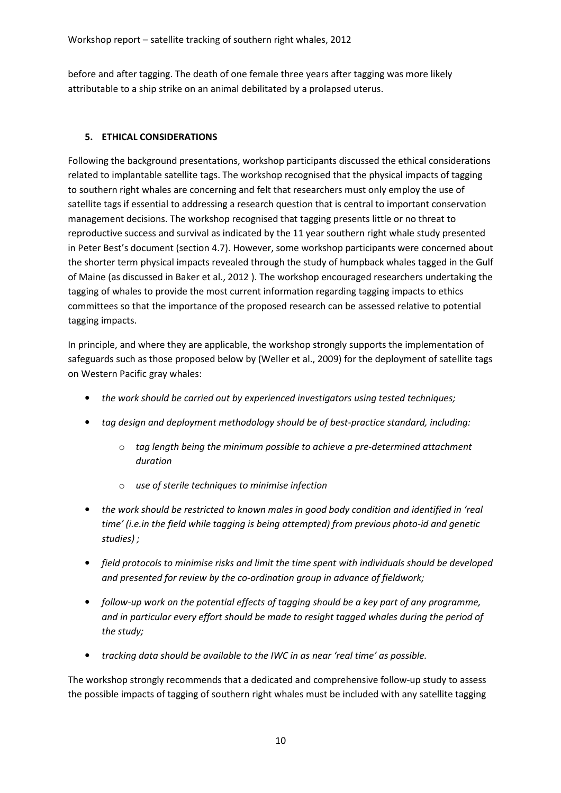before and after tagging. The death of one female three years after tagging was more likely attributable to a ship strike on an animal debilitated by a prolapsed uterus.

## 5. ETHICAL CONSIDERATIONS

Following the background presentations, workshop participants discussed the ethical considerations related to implantable satellite tags. The workshop recognised that the physical impacts of tagging to southern right whales are concerning and felt that researchers must only employ the use of satellite tags if essential to addressing a research question that is central to important conservation management decisions. The workshop recognised that tagging presents little or no threat to reproductive success and survival as indicated by the 11 year southern right whale study presented in Peter Best's document (section 4.7). However, some workshop participants were concerned about the shorter term physical impacts revealed through the study of humpback whales tagged in the Gulf of Maine (as discussed in Baker et al., 2012 ). The workshop encouraged researchers undertaking the tagging of whales to provide the most current information regarding tagging impacts to ethics committees so that the importance of the proposed research can be assessed relative to potential tagging impacts.

In principle, and where they are applicable, the workshop strongly supports the implementation of safeguards such as those proposed below by (Weller et al., 2009) for the deployment of satellite tags on Western Pacific gray whales:

- the work should be carried out by experienced investigators using tested techniques;
- tag design and deployment methodology should be of best-practice standard, including:
	- $\circ$  tag length being the minimum possible to achieve a pre-determined attachment duration
	- o use of sterile techniques to minimise infection
- the work should be restricted to known males in good body condition and identified in 'real time' (i.e.in the field while tagging is being attempted) from previous photo-id and genetic studies) ;
- field protocols to minimise risks and limit the time spent with individuals should be developed and presented for review by the co-ordination group in advance of fieldwork;
- follow-up work on the potential effects of tagging should be a key part of any programme, and in particular every effort should be made to resight tagged whales during the period of the study;
- tracking data should be available to the IWC in as near 'real time' as possible.

The workshop strongly recommends that a dedicated and comprehensive follow-up study to assess the possible impacts of tagging of southern right whales must be included with any satellite tagging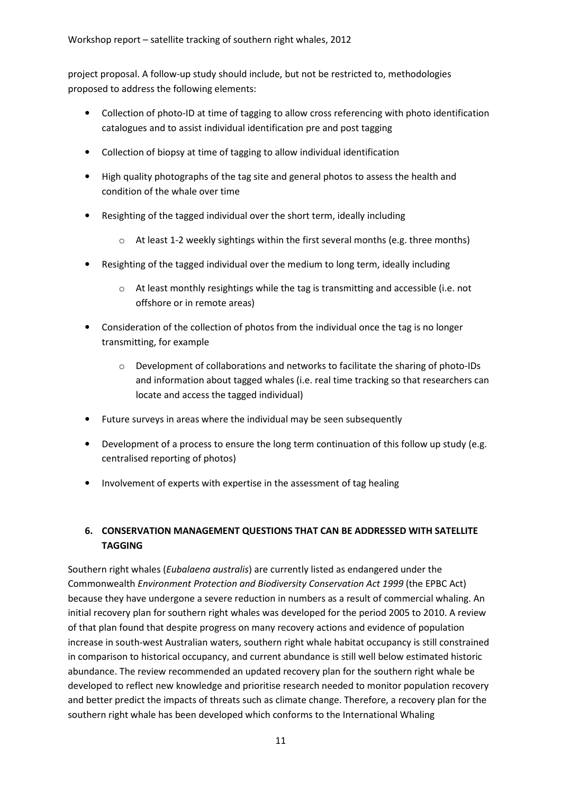project proposal. A follow-up study should include, but not be restricted to, methodologies proposed to address the following elements:

- Collection of photo-ID at time of tagging to allow cross referencing with photo identification catalogues and to assist individual identification pre and post tagging
- Collection of biopsy at time of tagging to allow individual identification
- High quality photographs of the tag site and general photos to assess the health and condition of the whale over time
- Resighting of the tagged individual over the short term, ideally including
	- $\circ$  At least 1-2 weekly sightings within the first several months (e.g. three months)
- Resighting of the tagged individual over the medium to long term, ideally including
	- o At least monthly resightings while the tag is transmitting and accessible (i.e. not offshore or in remote areas)
- Consideration of the collection of photos from the individual once the tag is no longer transmitting, for example
	- o Development of collaborations and networks to facilitate the sharing of photo-IDs and information about tagged whales (i.e. real time tracking so that researchers can locate and access the tagged individual)
- Future surveys in areas where the individual may be seen subsequently
- Development of a process to ensure the long term continuation of this follow up study (e.g. centralised reporting of photos)
- Involvement of experts with expertise in the assessment of tag healing

# 6. CONSERVATION MANAGEMENT QUESTIONS THAT CAN BE ADDRESSED WITH SATELLITE TAGGING

Southern right whales (Eubalaena australis) are currently listed as endangered under the Commonwealth Environment Protection and Biodiversity Conservation Act 1999 (the EPBC Act) because they have undergone a severe reduction in numbers as a result of commercial whaling. An initial recovery plan for southern right whales was developed for the period 2005 to 2010. A review of that plan found that despite progress on many recovery actions and evidence of population increase in south-west Australian waters, southern right whale habitat occupancy is still constrained in comparison to historical occupancy, and current abundance is still well below estimated historic abundance. The review recommended an updated recovery plan for the southern right whale be developed to reflect new knowledge and prioritise research needed to monitor population recovery and better predict the impacts of threats such as climate change. Therefore, a recovery plan for the southern right whale has been developed which conforms to the International Whaling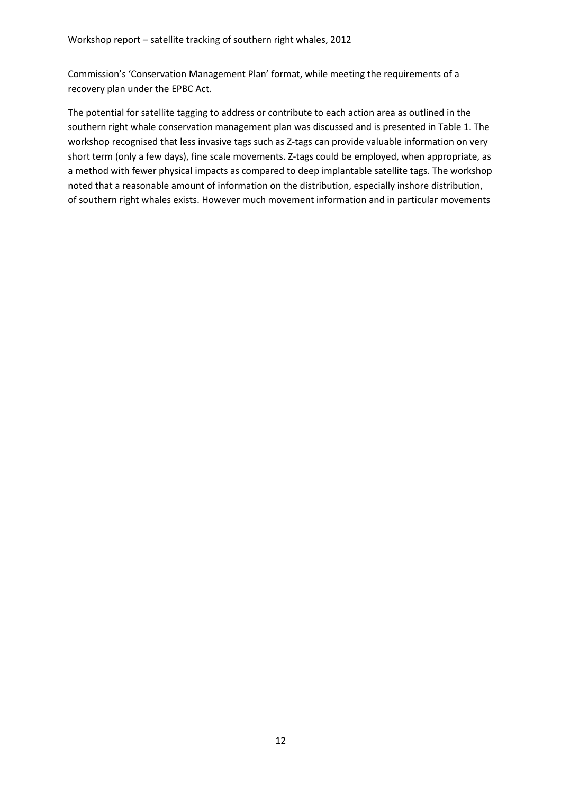Commission's 'Conservation Management Plan' format, while meeting the requirements of a recovery plan under the EPBC Act.

The potential for satellite tagging to address or contribute to each action area as outlined in the southern right whale conservation management plan was discussed and is presented in Table 1. The workshop recognised that less invasive tags such as Z-tags can provide valuable information on very short term (only a few days), fine scale movements. Z-tags could be employed, when appropriate, as a method with fewer physical impacts as compared to deep implantable satellite tags. The workshop noted that a reasonable amount of information on the distribution, especially inshore distribution, of southern right whales exists. However much movement information and in particular movements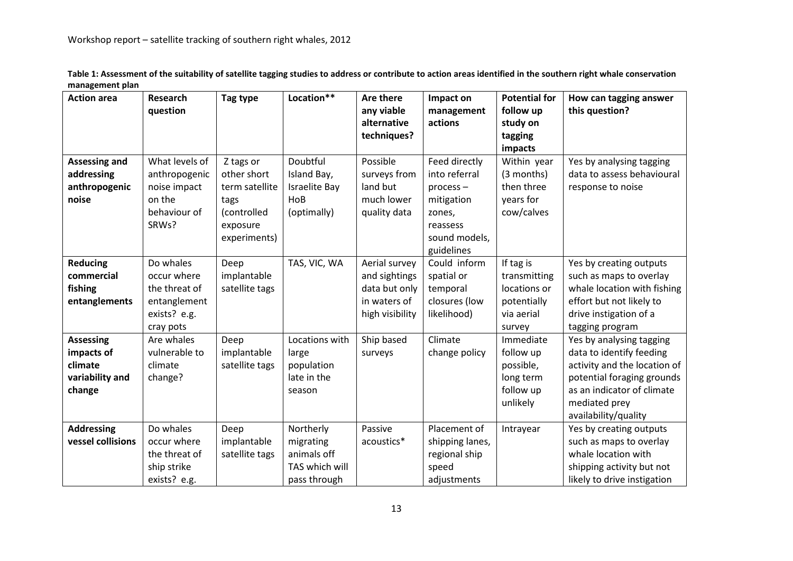| <b>Action area</b>   | Research       | Tag type       | Location**     | <b>Are there</b> | Impact on       | <b>Potential for</b> | How can tagging answer       |
|----------------------|----------------|----------------|----------------|------------------|-----------------|----------------------|------------------------------|
|                      | question       |                |                | any viable       | management      | follow up            | this question?               |
|                      |                |                |                | alternative      | actions         | study on             |                              |
|                      |                |                |                | techniques?      |                 | tagging              |                              |
|                      |                |                |                |                  |                 | impacts              |                              |
| <b>Assessing and</b> | What levels of | Z tags or      | Doubtful       | Possible         | Feed directly   | Within year          | Yes by analysing tagging     |
| addressing           | anthropogenic  | other short    | Island Bay,    | surveys from     | into referral   | (3 months)           | data to assess behavioural   |
| anthropogenic        | noise impact   | term satellite | Israelite Bay  | land but         | $process -$     | then three           | response to noise            |
| noise                | on the         | tags           | HoB            | much lower       | mitigation      | years for            |                              |
|                      | behaviour of   | (controlled    | (optimally)    | quality data     | zones,          | cow/calves           |                              |
|                      | SRWs?          | exposure       |                |                  | reassess        |                      |                              |
|                      |                | experiments)   |                |                  | sound models,   |                      |                              |
|                      |                |                |                |                  | guidelines      |                      |                              |
| <b>Reducing</b>      | Do whales      | Deep           | TAS, VIC, WA   | Aerial survey    | Could inform    | If tag is            | Yes by creating outputs      |
| commercial           | occur where    | implantable    |                | and sightings    | spatial or      | transmitting         | such as maps to overlay      |
| fishing              | the threat of  | satellite tags |                | data but only    | temporal        | locations or         | whale location with fishing  |
| entanglements        | entanglement   |                |                | in waters of     | closures (low   | potentially          | effort but not likely to     |
|                      | exists? e.g.   |                |                | high visibility  | likelihood)     | via aerial           | drive instigation of a       |
|                      | cray pots      |                |                |                  |                 | survey               | tagging program              |
| <b>Assessing</b>     | Are whales     | Deep           | Locations with | Ship based       | Climate         | Immediate            | Yes by analysing tagging     |
| impacts of           | vulnerable to  | implantable    | large          | surveys          | change policy   | follow up            | data to identify feeding     |
| climate              | climate        | satellite tags | population     |                  |                 | possible,            | activity and the location of |
| variability and      | change?        |                | late in the    |                  |                 | long term            | potential foraging grounds   |
| change               |                |                | season         |                  |                 | follow up            | as an indicator of climate   |
|                      |                |                |                |                  |                 | unlikely             | mediated prey                |
|                      |                |                |                |                  |                 |                      | availability/quality         |
| <b>Addressing</b>    | Do whales      | Deep           | Northerly      | Passive          | Placement of    | Intrayear            | Yes by creating outputs      |
| vessel collisions    | occur where    | implantable    | migrating      | acoustics*       | shipping lanes, |                      | such as maps to overlay      |
|                      | the threat of  | satellite tags | animals off    |                  | regional ship   |                      | whale location with          |
|                      | ship strike    |                | TAS which will |                  | speed           |                      | shipping activity but not    |
|                      | exists? e.g.   |                | pass through   |                  | adjustments     |                      | likely to drive instigation  |

Table 1: Assessment of the suitability of satellite tagging studies to address or contribute to action areas identified in the southern right whale conservation management plan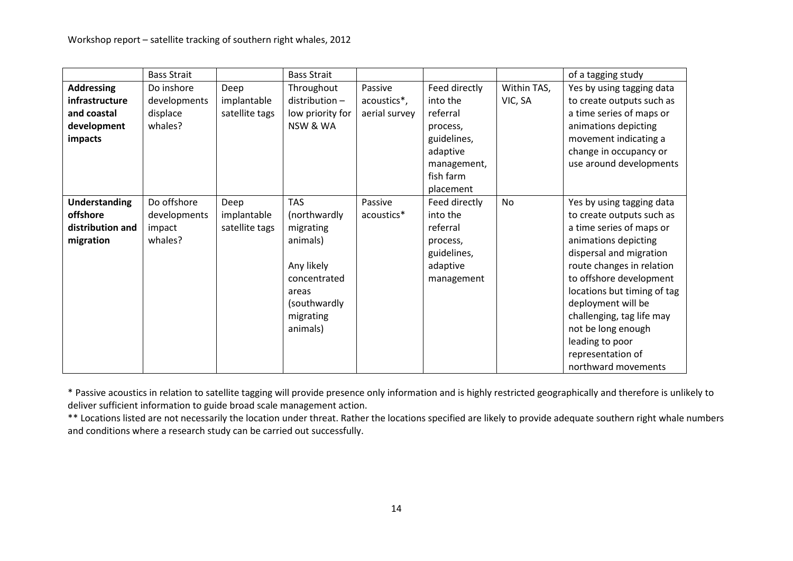|                      | <b>Bass Strait</b> |                | <b>Bass Strait</b> |               |               |             | of a tagging study          |
|----------------------|--------------------|----------------|--------------------|---------------|---------------|-------------|-----------------------------|
| <b>Addressing</b>    | Do inshore         | Deep           | Throughout         | Passive       | Feed directly | Within TAS, | Yes by using tagging data   |
| infrastructure       | developments       | implantable    | distribution-      | acoustics*,   | into the      | VIC, SA     | to create outputs such as   |
| and coastal          | displace           | satellite tags | low priority for   | aerial survey | referral      |             | a time series of maps or    |
| development          | whales?            |                | NSW & WA           |               | process,      |             | animations depicting        |
| impacts              |                    |                |                    |               | guidelines,   |             | movement indicating a       |
|                      |                    |                |                    |               | adaptive      |             | change in occupancy or      |
|                      |                    |                |                    |               | management,   |             | use around developments     |
|                      |                    |                |                    |               | fish farm     |             |                             |
|                      |                    |                |                    |               | placement     |             |                             |
| <b>Understanding</b> | Do offshore        | Deep           | <b>TAS</b>         | Passive       | Feed directly | No          | Yes by using tagging data   |
| offshore             | developments       | implantable    | (northwardly       | acoustics*    | into the      |             | to create outputs such as   |
| distribution and     | impact             | satellite tags | migrating          |               | referral      |             | a time series of maps or    |
| migration            | whales?            |                | animals)           |               | process,      |             | animations depicting        |
|                      |                    |                |                    |               | guidelines,   |             | dispersal and migration     |
|                      |                    |                | Any likely         |               | adaptive      |             | route changes in relation   |
|                      |                    |                | concentrated       |               | management    |             | to offshore development     |
|                      |                    |                | areas              |               |               |             | locations but timing of tag |
|                      |                    |                | (southwardly       |               |               |             | deployment will be          |
|                      |                    |                | migrating          |               |               |             | challenging, tag life may   |
|                      |                    |                | animals)           |               |               |             | not be long enough          |
|                      |                    |                |                    |               |               |             | leading to poor             |
|                      |                    |                |                    |               |               |             | representation of           |
|                      |                    |                |                    |               |               |             | northward movements         |

\* Passive acoustics in relation to satellite tagging will provide presence only information and is highly restricted geographically and therefore is unlikely todeliver sufficient information to guide broad scale management action.

\*\* Locations listed are not necessarily the location under threat. Rather the locations specified are likely to provide adequate southern right whale numbers and conditions where a research study can be carried out successfully.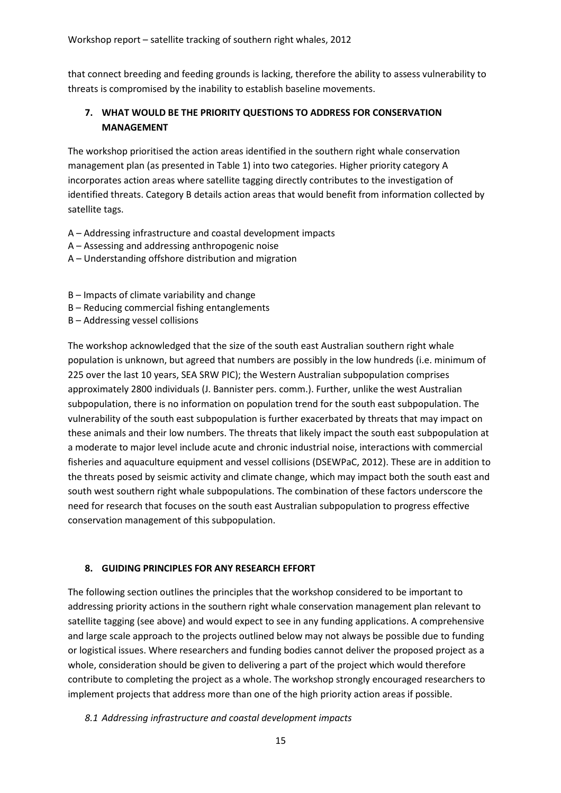that connect breeding and feeding grounds is lacking, therefore the ability to assess vulnerability to threats is compromised by the inability to establish baseline movements.

# 7. WHAT WOULD BE THE PRIORITY QUESTIONS TO ADDRESS FOR CONSERVATION MANAGEMENT

The workshop prioritised the action areas identified in the southern right whale conservation management plan (as presented in Table 1) into two categories. Higher priority category A incorporates action areas where satellite tagging directly contributes to the investigation of identified threats. Category B details action areas that would benefit from information collected by satellite tags.

- A Addressing infrastructure and coastal development impacts
- A Assessing and addressing anthropogenic noise
- A Understanding offshore distribution and migration
- B Impacts of climate variability and change
- B Reducing commercial fishing entanglements
- B Addressing vessel collisions

The workshop acknowledged that the size of the south east Australian southern right whale population is unknown, but agreed that numbers are possibly in the low hundreds (i.e. minimum of 225 over the last 10 years, SEA SRW PIC); the Western Australian subpopulation comprises approximately 2800 individuals (J. Bannister pers. comm.). Further, unlike the west Australian subpopulation, there is no information on population trend for the south east subpopulation. The vulnerability of the south east subpopulation is further exacerbated by threats that may impact on these animals and their low numbers. The threats that likely impact the south east subpopulation at a moderate to major level include acute and chronic industrial noise, interactions with commercial fisheries and aquaculture equipment and vessel collisions (DSEWPaC, 2012). These are in addition to the threats posed by seismic activity and climate change, which may impact both the south east and south west southern right whale subpopulations. The combination of these factors underscore the need for research that focuses on the south east Australian subpopulation to progress effective conservation management of this subpopulation.

#### 8. GUIDING PRINCIPLES FOR ANY RESEARCH EFFORT

The following section outlines the principles that the workshop considered to be important to addressing priority actions in the southern right whale conservation management plan relevant to satellite tagging (see above) and would expect to see in any funding applications. A comprehensive and large scale approach to the projects outlined below may not always be possible due to funding or logistical issues. Where researchers and funding bodies cannot deliver the proposed project as a whole, consideration should be given to delivering a part of the project which would therefore contribute to completing the project as a whole. The workshop strongly encouraged researchers to implement projects that address more than one of the high priority action areas if possible.

#### 8.1 Addressing infrastructure and coastal development impacts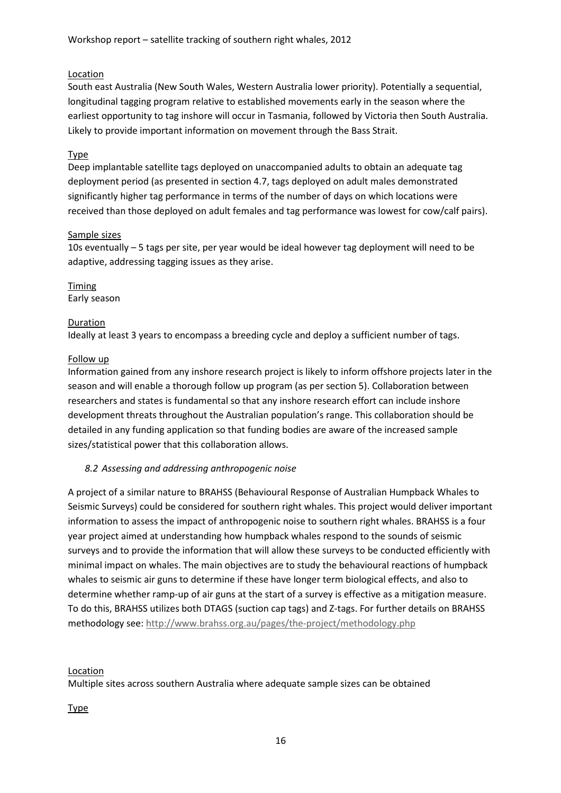#### Location

South east Australia (New South Wales, Western Australia lower priority). Potentially a sequential, longitudinal tagging program relative to established movements early in the season where the earliest opportunity to tag inshore will occur in Tasmania, followed by Victoria then South Australia. Likely to provide important information on movement through the Bass Strait.

#### Type

Deep implantable satellite tags deployed on unaccompanied adults to obtain an adequate tag deployment period (as presented in section 4.7, tags deployed on adult males demonstrated significantly higher tag performance in terms of the number of days on which locations were received than those deployed on adult females and tag performance was lowest for cow/calf pairs).

#### Sample sizes

10s eventually – 5 tags per site, per year would be ideal however tag deployment will need to be adaptive, addressing tagging issues as they arise.

#### Timing Early season

#### Duration

Ideally at least 3 years to encompass a breeding cycle and deploy a sufficient number of tags.

#### Follow up

Information gained from any inshore research project is likely to inform offshore projects later in the season and will enable a thorough follow up program (as per section 5). Collaboration between researchers and states is fundamental so that any inshore research effort can include inshore development threats throughout the Australian population's range. This collaboration should be detailed in any funding application so that funding bodies are aware of the increased sample sizes/statistical power that this collaboration allows.

#### 8.2 Assessing and addressing anthropogenic noise

A project of a similar nature to BRAHSS (Behavioural Response of Australian Humpback Whales to Seismic Surveys) could be considered for southern right whales. This project would deliver important information to assess the impact of anthropogenic noise to southern right whales. BRAHSS is a four year project aimed at understanding how humpback whales respond to the sounds of seismic surveys and to provide the information that will allow these surveys to be conducted efficiently with minimal impact on whales. The main objectives are to study the behavioural reactions of humpback whales to seismic air guns to determine if these have longer term biological effects, and also to determine whether ramp-up of air guns at the start of a survey is effective as a mitigation measure. To do this, BRAHSS utilizes both DTAGS (suction cap tags) and Z-tags. For further details on BRAHSS methodology see: http://www.brahss.org.au/pages/the-project/methodology.php

#### Location

Multiple sites across southern Australia where adequate sample sizes can be obtained

Type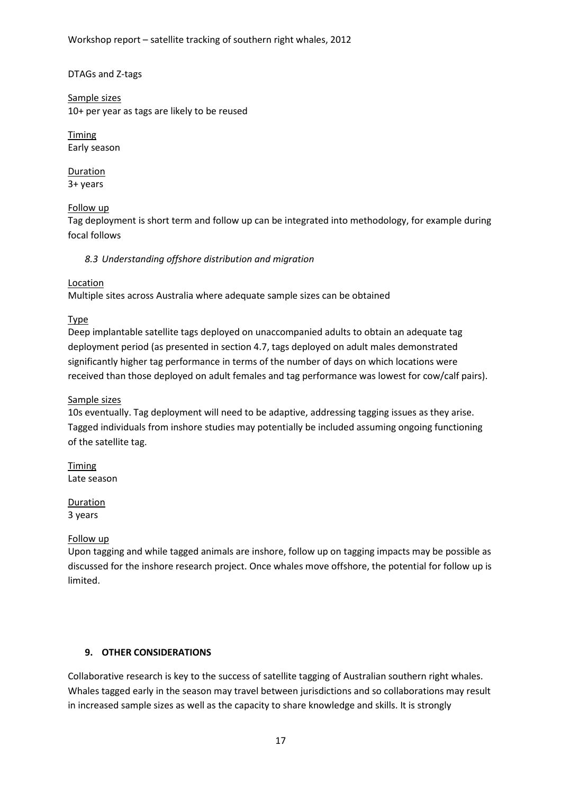Workshop report – satellite tracking of southern right whales, 2012

#### DTAGs and Z-tags

Sample sizes 10+ per year as tags are likely to be reused

Timing Early season

Duration 3+ years

#### Follow up

Tag deployment is short term and follow up can be integrated into methodology, for example during focal follows

8.3 Understanding offshore distribution and migration

#### Location

Multiple sites across Australia where adequate sample sizes can be obtained

Type

Deep implantable satellite tags deployed on unaccompanied adults to obtain an adequate tag deployment period (as presented in section 4.7, tags deployed on adult males demonstrated significantly higher tag performance in terms of the number of days on which locations were received than those deployed on adult females and tag performance was lowest for cow/calf pairs).

#### Sample sizes

10s eventually. Tag deployment will need to be adaptive, addressing tagging issues as they arise. Tagged individuals from inshore studies may potentially be included assuming ongoing functioning of the satellite tag.

Timing Late season

Duration 3 years

#### Follow up

Upon tagging and while tagged animals are inshore, follow up on tagging impacts may be possible as discussed for the inshore research project. Once whales move offshore, the potential for follow up is limited.

#### 9. OTHER CONSIDERATIONS

Collaborative research is key to the success of satellite tagging of Australian southern right whales. Whales tagged early in the season may travel between jurisdictions and so collaborations may result in increased sample sizes as well as the capacity to share knowledge and skills. It is strongly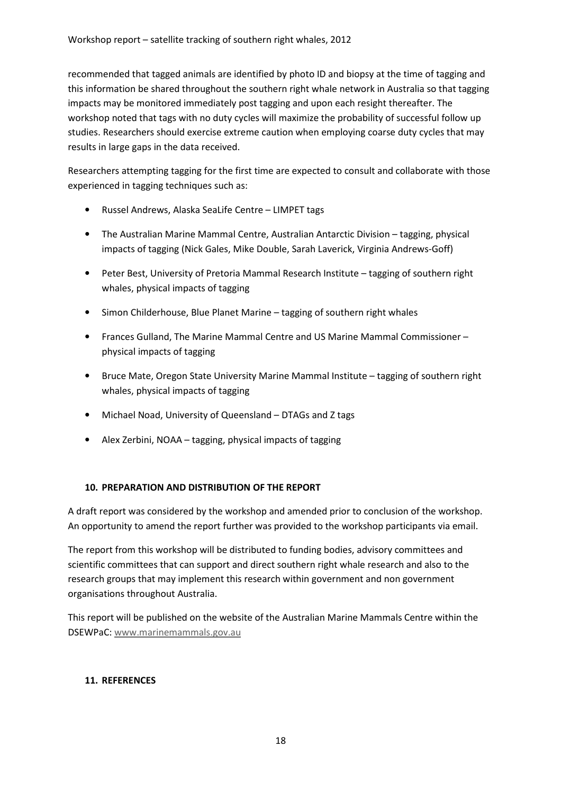recommended that tagged animals are identified by photo ID and biopsy at the time of tagging and this information be shared throughout the southern right whale network in Australia so that tagging impacts may be monitored immediately post tagging and upon each resight thereafter. The workshop noted that tags with no duty cycles will maximize the probability of successful follow up studies. Researchers should exercise extreme caution when employing coarse duty cycles that may results in large gaps in the data received.

Researchers attempting tagging for the first time are expected to consult and collaborate with those experienced in tagging techniques such as:

- Russel Andrews, Alaska SeaLife Centre LIMPET tags
- The Australian Marine Mammal Centre, Australian Antarctic Division tagging, physical impacts of tagging (Nick Gales, Mike Double, Sarah Laverick, Virginia Andrews-Goff)
- Peter Best, University of Pretoria Mammal Research Institute tagging of southern right whales, physical impacts of tagging
- Simon Childerhouse, Blue Planet Marine tagging of southern right whales
- Frances Gulland, The Marine Mammal Centre and US Marine Mammal Commissioner physical impacts of tagging
- Bruce Mate, Oregon State University Marine Mammal Institute tagging of southern right whales, physical impacts of tagging
- Michael Noad, University of Queensland DTAGs and Z tags
- Alex Zerbini, NOAA tagging, physical impacts of tagging

#### 10. PREPARATION AND DISTRIBUTION OF THE REPORT

A draft report was considered by the workshop and amended prior to conclusion of the workshop. An opportunity to amend the report further was provided to the workshop participants via email.

The report from this workshop will be distributed to funding bodies, advisory committees and scientific committees that can support and direct southern right whale research and also to the research groups that may implement this research within government and non government organisations throughout Australia.

This report will be published on the website of the Australian Marine Mammals Centre within the DSEWPaC: www.marinemammals.gov.au

#### 11. REFERENCES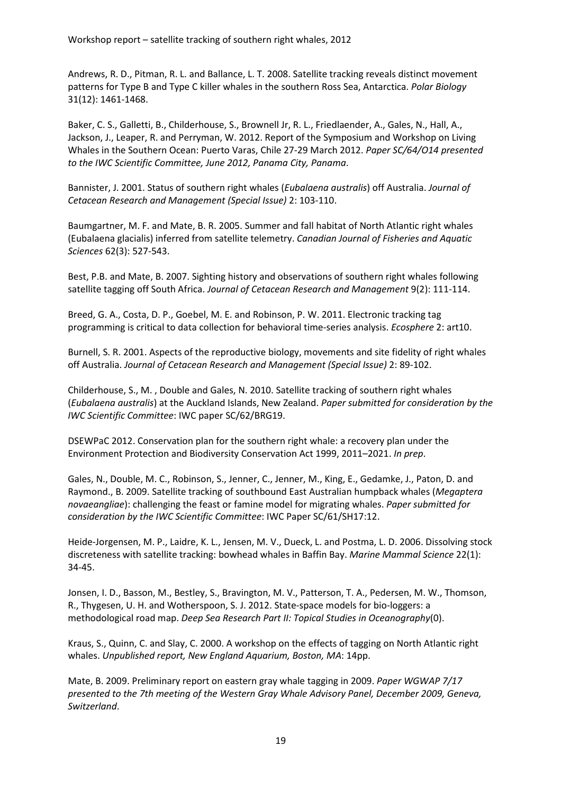Andrews, R. D., Pitman, R. L. and Ballance, L. T. 2008. Satellite tracking reveals distinct movement patterns for Type B and Type C killer whales in the southern Ross Sea, Antarctica. Polar Biology 31(12): 1461-1468.

Baker, C. S., Galletti, B., Childerhouse, S., Brownell Jr, R. L., Friedlaender, A., Gales, N., Hall, A., Jackson, J., Leaper, R. and Perryman, W. 2012. Report of the Symposium and Workshop on Living Whales in the Southern Ocean: Puerto Varas, Chile 27-29 March 2012. Paper SC/64/O14 presented to the IWC Scientific Committee, June 2012, Panama City, Panama.

Bannister, J. 2001. Status of southern right whales (Eubalaena australis) off Australia. Journal of Cetacean Research and Management (Special Issue) 2: 103-110.

Baumgartner, M. F. and Mate, B. R. 2005. Summer and fall habitat of North Atlantic right whales (Eubalaena glacialis) inferred from satellite telemetry. Canadian Journal of Fisheries and Aquatic Sciences 62(3): 527-543.

Best, P.B. and Mate, B. 2007. Sighting history and observations of southern right whales following satellite tagging off South Africa. Journal of Cetacean Research and Management 9(2): 111-114.

Breed, G. A., Costa, D. P., Goebel, M. E. and Robinson, P. W. 2011. Electronic tracking tag programming is critical to data collection for behavioral time-series analysis. Ecosphere 2: art10.

Burnell, S. R. 2001. Aspects of the reproductive biology, movements and site fidelity of right whales off Australia. Journal of Cetacean Research and Management (Special Issue) 2: 89-102.

Childerhouse, S., M. , Double and Gales, N. 2010. Satellite tracking of southern right whales (Eubalaena australis) at the Auckland Islands, New Zealand. Paper submitted for consideration by the IWC Scientific Committee: IWC paper SC/62/BRG19.

DSEWPaC 2012. Conservation plan for the southern right whale: a recovery plan under the Environment Protection and Biodiversity Conservation Act 1999, 2011–2021. In prep.

Gales, N., Double, M. C., Robinson, S., Jenner, C., Jenner, M., King, E., Gedamke, J., Paton, D. and Raymond., B. 2009. Satellite tracking of southbound East Australian humpback whales (Megaptera novaeangliae): challenging the feast or famine model for migrating whales. Paper submitted for consideration by the IWC Scientific Committee: IWC Paper SC/61/SH17:12.

Heide-Jorgensen, M. P., Laidre, K. L., Jensen, M. V., Dueck, L. and Postma, L. D. 2006. Dissolving stock discreteness with satellite tracking: bowhead whales in Baffin Bay. Marine Mammal Science 22(1): 34-45.

Jonsen, I. D., Basson, M., Bestley, S., Bravington, M. V., Patterson, T. A., Pedersen, M. W., Thomson, R., Thygesen, U. H. and Wotherspoon, S. J. 2012. State-space models for bio-loggers: a methodological road map. Deep Sea Research Part II: Topical Studies in Oceanography(0).

Kraus, S., Quinn, C. and Slay, C. 2000. A workshop on the effects of tagging on North Atlantic right whales. Unpublished report, New England Aquarium, Boston, MA: 14pp.

Mate, B. 2009. Preliminary report on eastern gray whale tagging in 2009. Paper WGWAP 7/17 presented to the 7th meeting of the Western Gray Whale Advisory Panel, December 2009, Geneva, Switzerland.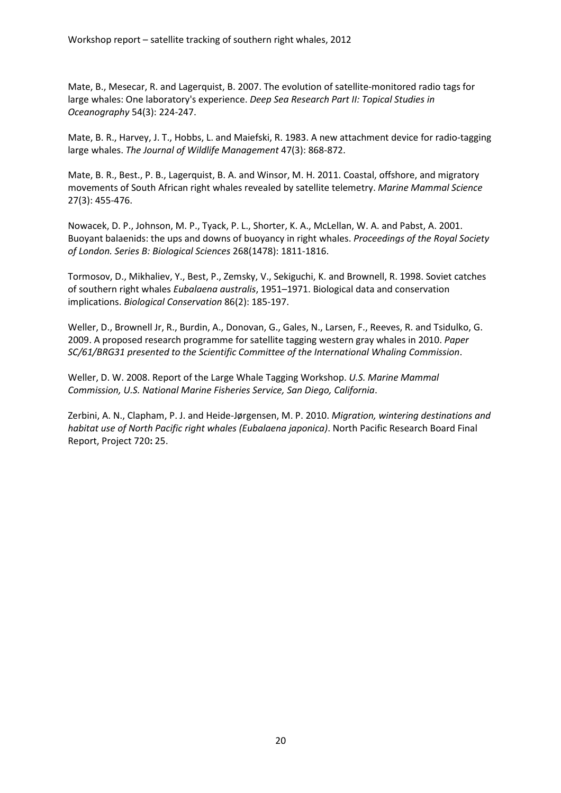Mate, B., Mesecar, R. and Lagerquist, B. 2007. The evolution of satellite-monitored radio tags for large whales: One laboratory's experience. Deep Sea Research Part II: Topical Studies in Oceanography 54(3): 224-247.

Mate, B. R., Harvey, J. T., Hobbs, L. and Maiefski, R. 1983. A new attachment device for radio-tagging large whales. The Journal of Wildlife Management 47(3): 868-872.

Mate, B. R., Best., P. B., Lagerquist, B. A. and Winsor, M. H. 2011. Coastal, offshore, and migratory movements of South African right whales revealed by satellite telemetry. Marine Mammal Science 27(3): 455-476.

Nowacek, D. P., Johnson, M. P., Tyack, P. L., Shorter, K. A., McLellan, W. A. and Pabst, A. 2001. Buoyant balaenids: the ups and downs of buoyancy in right whales. Proceedings of the Royal Society of London. Series B: Biological Sciences 268(1478): 1811-1816.

Tormosov, D., Mikhaliev, Y., Best, P., Zemsky, V., Sekiguchi, K. and Brownell, R. 1998. Soviet catches of southern right whales Eubalaena australis, 1951–1971. Biological data and conservation implications. Biological Conservation 86(2): 185-197.

Weller, D., Brownell Jr, R., Burdin, A., Donovan, G., Gales, N., Larsen, F., Reeves, R. and Tsidulko, G. 2009. A proposed research programme for satellite tagging western gray whales in 2010. Paper SC/61/BRG31 presented to the Scientific Committee of the International Whaling Commission.

Weller, D. W. 2008. Report of the Large Whale Tagging Workshop. U.S. Marine Mammal Commission, U.S. National Marine Fisheries Service, San Diego, California.

Zerbini, A. N., Clapham, P. J. and Heide-Jørgensen, M. P. 2010. Migration, wintering destinations and habitat use of North Pacific right whales (Eubalaena japonica). North Pacific Research Board Final Report, Project 720: 25.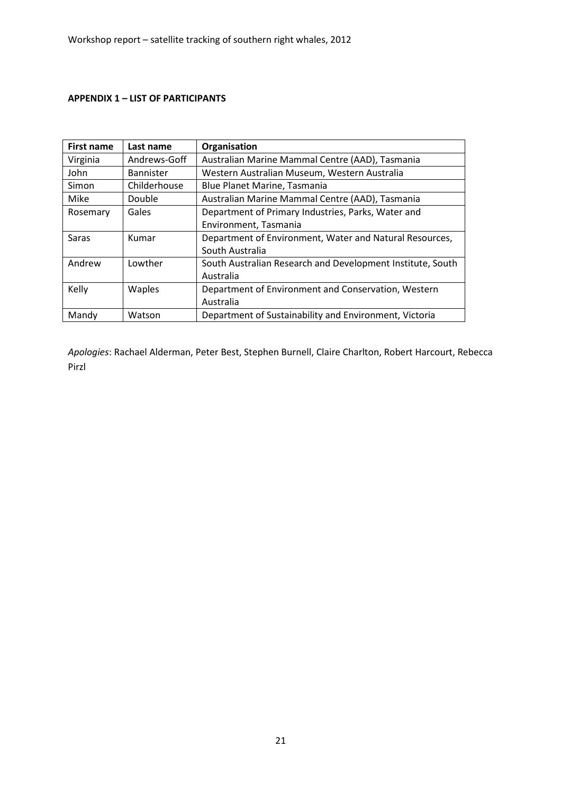#### APPENDIX 1 – LIST OF PARTICIPANTS

| First name | Last name        | Organisation                                               |
|------------|------------------|------------------------------------------------------------|
| Virginia   | Andrews-Goff     | Australian Marine Mammal Centre (AAD), Tasmania            |
| John       | <b>Bannister</b> | Western Australian Museum, Western Australia               |
| Simon      | Childerhouse     | Blue Planet Marine, Tasmania                               |
| Mike       | Double           | Australian Marine Mammal Centre (AAD), Tasmania            |
| Rosemary   | Gales            | Department of Primary Industries, Parks, Water and         |
|            |                  | Environment, Tasmania                                      |
| Saras      | Kumar            | Department of Environment, Water and Natural Resources,    |
|            |                  | South Australia                                            |
| Andrew     | Lowther          | South Australian Research and Development Institute, South |
|            |                  | Australia                                                  |
| Kelly      | Waples           | Department of Environment and Conservation, Western        |
|            |                  | Australia                                                  |
| Mandy      | Watson           | Department of Sustainability and Environment, Victoria     |

Apologies: Rachael Alderman, Peter Best, Stephen Burnell, Claire Charlton, Robert Harcourt, Rebecca Pirzl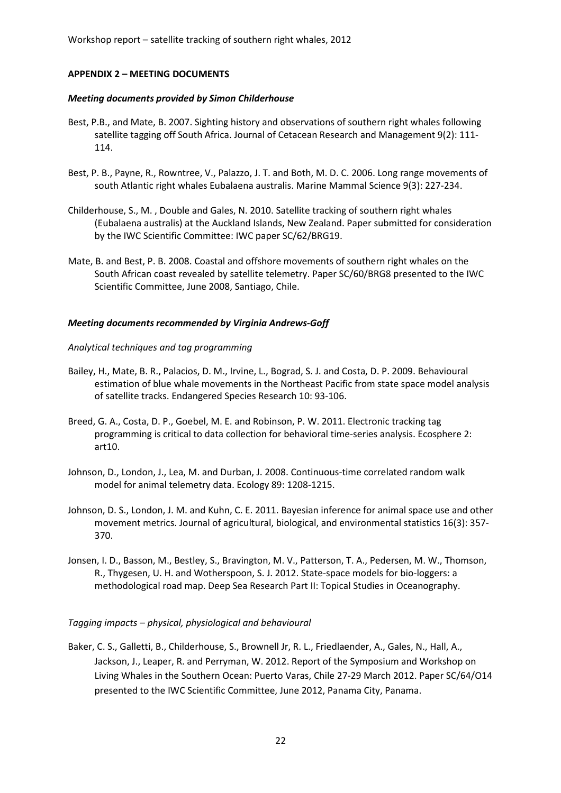Workshop report – satellite tracking of southern right whales, 2012

#### APPENDIX 2 – MEETING DOCUMENTS

#### Meeting documents provided by Simon Childerhouse

- Best, P.B., and Mate, B. 2007. Sighting history and observations of southern right whales following satellite tagging off South Africa. Journal of Cetacean Research and Management 9(2): 111- 114.
- Best, P. B., Payne, R., Rowntree, V., Palazzo, J. T. and Both, M. D. C. 2006. Long range movements of south Atlantic right whales Eubalaena australis. Marine Mammal Science 9(3): 227-234.
- Childerhouse, S., M. , Double and Gales, N. 2010. Satellite tracking of southern right whales (Eubalaena australis) at the Auckland Islands, New Zealand. Paper submitted for consideration by the IWC Scientific Committee: IWC paper SC/62/BRG19.
- Mate, B. and Best, P. B. 2008. Coastal and offshore movements of southern right whales on the South African coast revealed by satellite telemetry. Paper SC/60/BRG8 presented to the IWC Scientific Committee, June 2008, Santiago, Chile.

#### Meeting documents recommended by Virginia Andrews-Goff

#### Analytical techniques and tag programming

- Bailey, H., Mate, B. R., Palacios, D. M., Irvine, L., Bograd, S. J. and Costa, D. P. 2009. Behavioural estimation of blue whale movements in the Northeast Pacific from state space model analysis of satellite tracks. Endangered Species Research 10: 93-106.
- Breed, G. A., Costa, D. P., Goebel, M. E. and Robinson, P. W. 2011. Electronic tracking tag programming is critical to data collection for behavioral time-series analysis. Ecosphere 2: art10.
- Johnson, D., London, J., Lea, M. and Durban, J. 2008. Continuous-time correlated random walk model for animal telemetry data. Ecology 89: 1208-1215.
- Johnson, D. S., London, J. M. and Kuhn, C. E. 2011. Bayesian inference for animal space use and other movement metrics. Journal of agricultural, biological, and environmental statistics 16(3): 357- 370.
- Jonsen, I. D., Basson, M., Bestley, S., Bravington, M. V., Patterson, T. A., Pedersen, M. W., Thomson, R., Thygesen, U. H. and Wotherspoon, S. J. 2012. State-space models for bio-loggers: a methodological road map. Deep Sea Research Part II: Topical Studies in Oceanography.

#### Tagging impacts – physical, physiological and behavioural

Baker, C. S., Galletti, B., Childerhouse, S., Brownell Jr, R. L., Friedlaender, A., Gales, N., Hall, A., Jackson, J., Leaper, R. and Perryman, W. 2012. Report of the Symposium and Workshop on Living Whales in the Southern Ocean: Puerto Varas, Chile 27-29 March 2012. Paper SC/64/O14 presented to the IWC Scientific Committee, June 2012, Panama City, Panama.